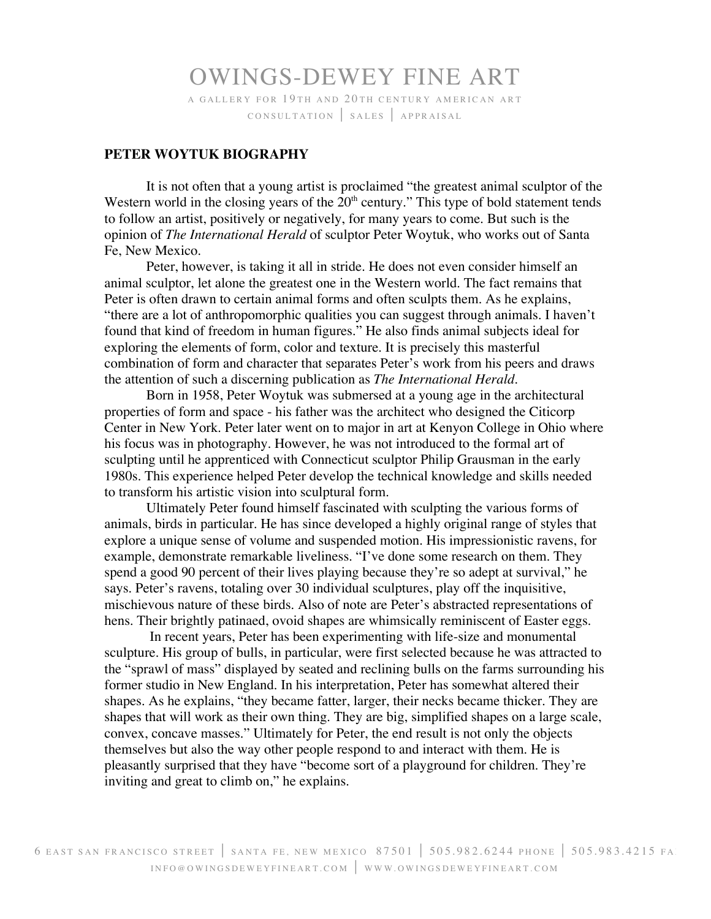### OWINGS-DEWEY FINE ART A GALLERY FOR 19TH AND 20TH CENTURY AMERICAN ART CONSULTATION | SALES | APPRAISAL

### **PETER WOYTUK BIOGRAPHY**

It is not often that a young artist is proclaimed "the greatest animal sculptor of the Western world in the closing years of the  $20<sup>th</sup>$  century." This type of bold statement tends to follow an artist, positively or negatively, for many years to come. But such is the opinion of *The International Herald* of sculptor Peter Woytuk, who works out of Santa Fe, New Mexico.

Peter, however, is taking it all in stride. He does not even consider himself an animal sculptor, let alone the greatest one in the Western world. The fact remains that Peter is often drawn to certain animal forms and often sculpts them. As he explains, "there are a lot of anthropomorphic qualities you can suggest through animals. I haven't found that kind of freedom in human figures." He also finds animal subjects ideal for exploring the elements of form, color and texture. It is precisely this masterful combination of form and character that separates Peter's work from his peers and draws the attention of such a discerning publication as *The International Herald*.

Born in 1958, Peter Woytuk was submersed at a young age in the architectural properties of form and space - his father was the architect who designed the Citicorp Center in New York. Peter later went on to major in art at Kenyon College in Ohio where his focus was in photography. However, he was not introduced to the formal art of sculpting until he apprenticed with Connecticut sculptor Philip Grausman in the early 1980s. This experience helped Peter develop the technical knowledge and skills needed to transform his artistic vision into sculptural form.

Ultimately Peter found himself fascinated with sculpting the various forms of animals, birds in particular. He has since developed a highly original range of styles that explore a unique sense of volume and suspended motion. His impressionistic ravens, for example, demonstrate remarkable liveliness. "I've done some research on them. They spend a good 90 percent of their lives playing because they're so adept at survival," he says. Peter's ravens, totaling over 30 individual sculptures, play off the inquisitive, mischievous nature of these birds. Also of note are Peter's abstracted representations of hens. Their brightly patinaed, ovoid shapes are whimsically reminiscent of Easter eggs.

 In recent years, Peter has been experimenting with life-size and monumental sculpture. His group of bulls, in particular, were first selected because he was attracted to the "sprawl of mass" displayed by seated and reclining bulls on the farms surrounding his former studio in New England. In his interpretation, Peter has somewhat altered their shapes. As he explains, "they became fatter, larger, their necks became thicker. They are shapes that will work as their own thing. They are big, simplified shapes on a large scale, convex, concave masses." Ultimately for Peter, the end result is not only the objects themselves but also the way other people respond to and interact with them. He is pleasantly surprised that they have "become sort of a playground for children. They're inviting and great to climb on," he explains.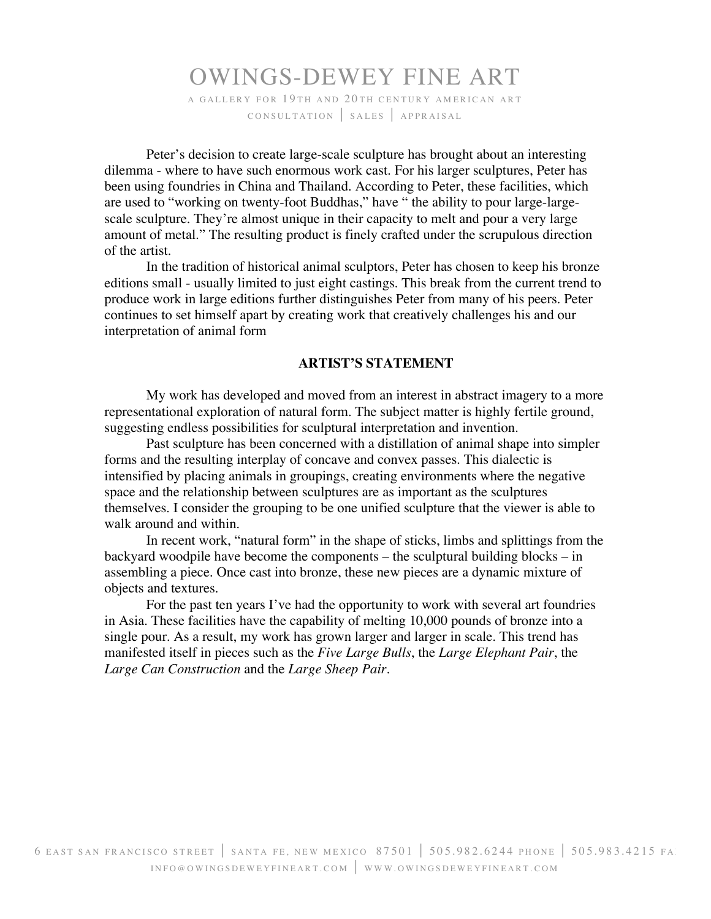## OWINGS-DEWEY FINE ART A GALLERY FOR 19TH AND 20TH CENTURY AMERICAN ART CONSULTATION | SALES | APPRAISAL

Peter's decision to create large-scale sculpture has brought about an interesting dilemma - where to have such enormous work cast. For his larger sculptures, Peter has been using foundries in China and Thailand. According to Peter, these facilities, which are used to "working on twenty-foot Buddhas," have " the ability to pour large-largescale sculpture. They're almost unique in their capacity to melt and pour a very large amount of metal." The resulting product is finely crafted under the scrupulous direction of the artist.

In the tradition of historical animal sculptors, Peter has chosen to keep his bronze editions small - usually limited to just eight castings. This break from the current trend to produce work in large editions further distinguishes Peter from many of his peers. Peter continues to set himself apart by creating work that creatively challenges his and our interpretation of animal form

### **ARTIST'S STATEMENT**

My work has developed and moved from an interest in abstract imagery to a more representational exploration of natural form. The subject matter is highly fertile ground, suggesting endless possibilities for sculptural interpretation and invention.

Past sculpture has been concerned with a distillation of animal shape into simpler forms and the resulting interplay of concave and convex passes. This dialectic is intensified by placing animals in groupings, creating environments where the negative space and the relationship between sculptures are as important as the sculptures themselves. I consider the grouping to be one unified sculpture that the viewer is able to walk around and within.

In recent work, "natural form" in the shape of sticks, limbs and splittings from the backyard woodpile have become the components – the sculptural building blocks – in assembling a piece. Once cast into bronze, these new pieces are a dynamic mixture of objects and textures.

For the past ten years I've had the opportunity to work with several art foundries in Asia. These facilities have the capability of melting 10,000 pounds of bronze into a single pour. As a result, my work has grown larger and larger in scale. This trend has manifested itself in pieces such as the *Five Large Bulls*, the *Large Elephant Pair*, the *Large Can Construction* and the *Large Sheep Pair*.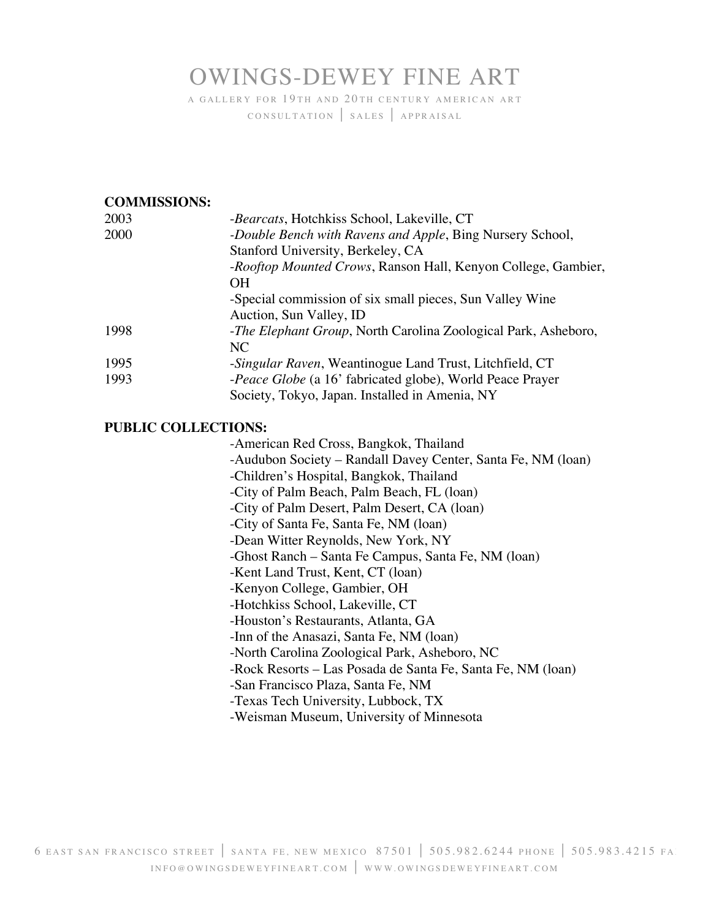# OWINGS-DEWEY FINE ART

A GALLERY FOR 19TH AND 20TH CENTURY AMERICAN ART CONSULTATION | SALES | APPRAISAL

### **COMMISSIONS:**

| 2003 | -Bearcats, Hotchkiss School, Lakeville, CT                              |
|------|-------------------------------------------------------------------------|
| 2000 | -Double Bench with Ravens and Apple, Bing Nursery School,               |
|      | Stanford University, Berkeley, CA                                       |
|      | -Rooftop Mounted Crows, Ranson Hall, Kenyon College, Gambier,           |
|      | <b>OH</b>                                                               |
|      | -Special commission of six small pieces, Sun Valley Wine                |
|      | Auction, Sun Valley, ID                                                 |
| 1998 | - <i>The Elephant Group</i> , North Carolina Zoological Park, Asheboro, |
|      | NC                                                                      |
| 1995 | -Singular Raven, Weantinogue Land Trust, Litchfield, CT                 |
| 1993 | -Peace Globe (a 16' fabricated globe), World Peace Prayer               |
|      | Society, Tokyo, Japan. Installed in Amenia, NY                          |
|      |                                                                         |

### **PUBLIC COLLECTIONS:**

-American Red Cross, Bangkok, Thailand -Audubon Society – Randall Davey Center, Santa Fe, NM (loan) -Children's Hospital, Bangkok, Thailand -City of Palm Beach, Palm Beach, FL (loan) -City of Palm Desert, Palm Desert, CA (loan) -City of Santa Fe, Santa Fe, NM (loan) -Dean Witter Reynolds, New York, NY -Ghost Ranch – Santa Fe Campus, Santa Fe, NM (loan) -Kent Land Trust, Kent, CT (loan) -Kenyon College, Gambier, OH -Hotchkiss School, Lakeville, CT -Houston's Restaurants, Atlanta, GA -Inn of the Anasazi, Santa Fe, NM (loan) -North Carolina Zoological Park, Asheboro, NC -Rock Resorts – Las Posada de Santa Fe, Santa Fe, NM (loan) -San Francisco Plaza, Santa Fe, NM -Texas Tech University, Lubbock, TX -Weisman Museum, University of Minnesota